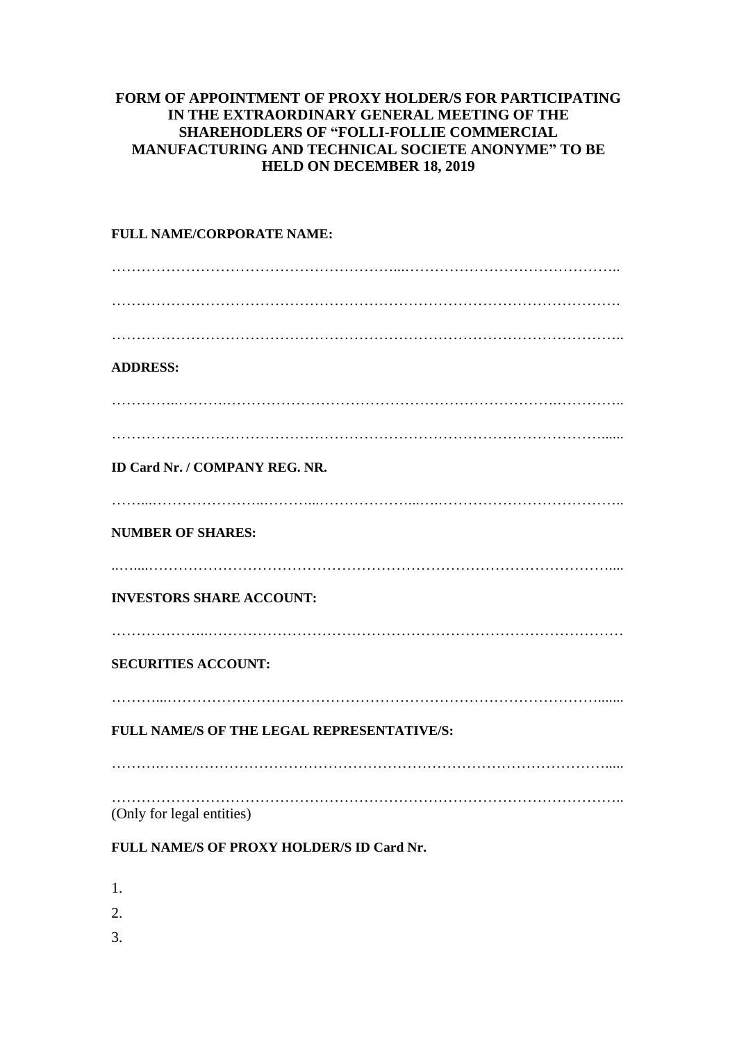## **FORM OF APPOINTMENT OF PROXY HOLDER/S FOR PARTICIPATING IN THE EXTRAORDINARY GENERAL MEETING OF THE SHAREHODLERS OF "FOLLI-FOLLIE COMMERCIAL MANUFACTURING AND TECHNICAL SOCIETE ANONYME" TO BE HELD ON DECEMBER 18, 2019**

## **FULL NAME/CORPORATE NAME:** …………………………………………………...…………………………………….. …………………………………………………………………………………………. ………………………………………………………………………………………….. **ADDRESS:** …………..……….………………………………………………………….………….. ………………………………………………………………………………………...... **ID Card Nr. / COMPANY REG. NR.** ……...…………………..………...………………...….……………………………….. **NUMBER OF SHARES:** ..…....………………………………………………………………………………….... **INVESTORS SHARE ACCOUNT:** ………………..………………………………………………………………………… **SECURITIES ACCOUNT:** ………...……………………………………………………………………………....... **FULL NAME/S OF THE LEGAL REPRESENTATIVE/S:** ……….………………………………………………………………………………..... ………………………………………………………………………………………….. (Only for legal entities)

## **FULL NAME/S OF PROXY HOLDER/S ID Card Nr.**

- 1.
- 2.
- 
- 3.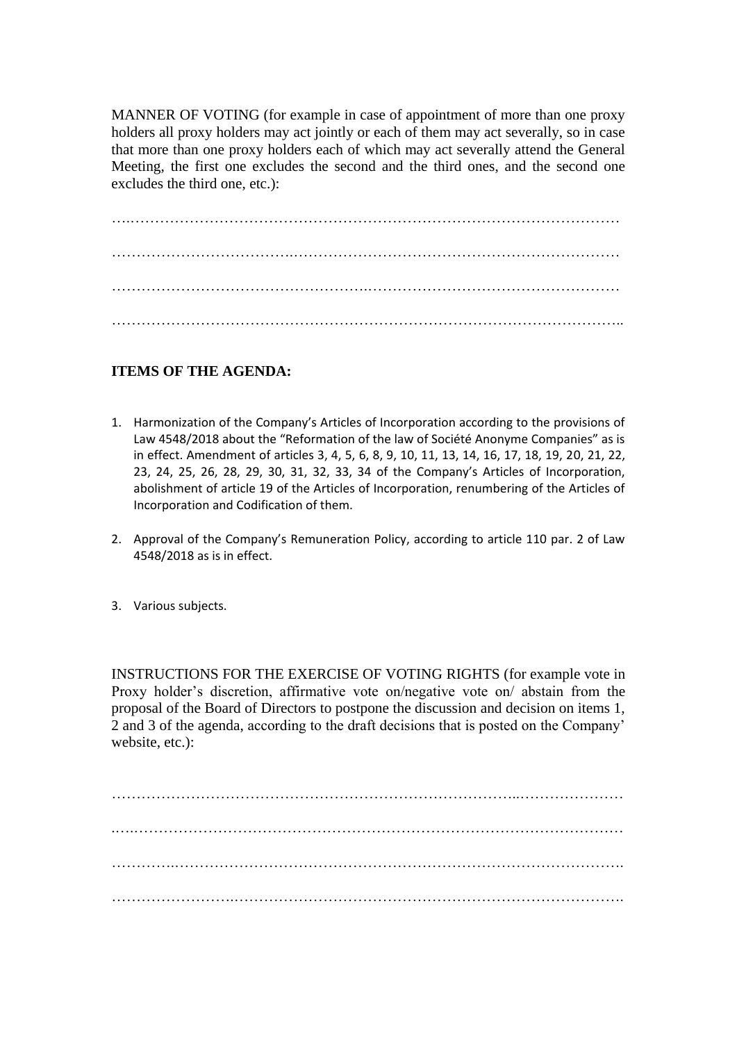MANNER OF VOTING (for example in case of appointment of more than one proxy holders all proxy holders may act jointly or each of them may act severally, so in case that more than one proxy holders each of which may act severally attend the General Meeting, the first one excludes the second and the third ones, and the second one excludes the third one, etc.):

….……………………………………………………………………………………… ……………………………….………………………………………………………… …………………………………………….…………………………………………… …………………………………………………………………………………………..

## **ITEMS OF THE AGENDA:**

- 1. Harmonization of the Company's Articles of Incorporation according to the provisions of Law 4548/2018 about the "Reformation of the law of Société Anonyme Companies" as is in effect. Amendment of articles 3, 4, 5, 6, 8, 9, 10, 11, 13, 14, 16, 17, 18, 19, 20, 21, 22, 23, 24, 25, 26, 28, 29, 30, 31, 32, 33, 34 of the Company's Articles of Incorporation, abolishment of article 19 of the Articles of Incorporation, renumbering of the Articles of Incorporation and Codification of them.
- 2. Approval of the Company's Remuneration Policy, according to article 110 par. 2 of Law 4548/2018 as is in effect.
- 3. Various subjects.

INSTRUCTIONS FOR THE EXERCISE OF VOTING RIGHTS (for example vote in Proxy holder's discretion, affirmative vote on/negative vote on/ abstain from the proposal of the Board of Directors to postpone the discussion and decision on items 1, 2 and 3 of the agenda, according to the draft decisions that is posted on the Company' website, etc.):